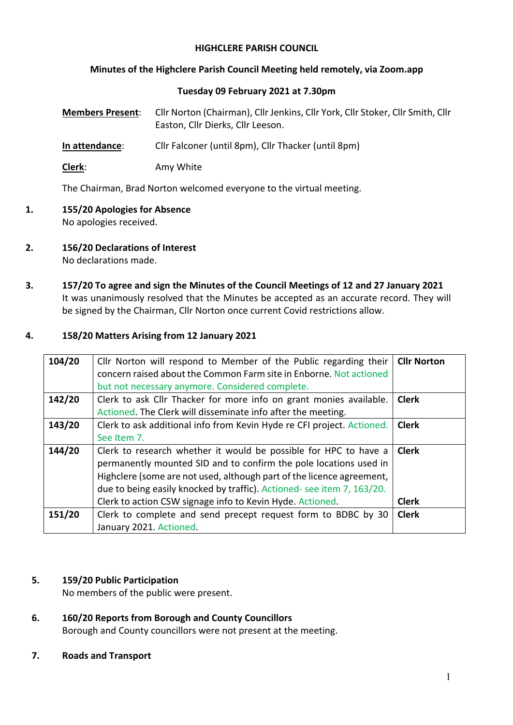# **HIGHCLERE PARISH COUNCIL**

### **Minutes of the Highclere Parish Council Meeting held remotely, via Zoom.app**

### **Tuesday 09 February 2021 at 7.30pm**

| <b>Members Present:</b> | Cllr Norton (Chairman), Cllr Jenkins, Cllr York, Cllr Stoker, Cllr Smith, Cllr<br>Easton, Cllr Dierks, Cllr Leeson. |
|-------------------------|---------------------------------------------------------------------------------------------------------------------|
| In attendance:          | Cllr Falconer (until 8pm), Cllr Thacker (until 8pm)                                                                 |

**Clerk**: Amy White

The Chairman, Brad Norton welcomed everyone to the virtual meeting.

- **1. 155/20 Apologies for Absence** No apologies received.
- **2. 156/20 Declarations of Interest**  No declarations made.
- **3. 157/20 To agree and sign the Minutes of the Council Meetings of 12 and 27 January 2021** It was unanimously resolved that the Minutes be accepted as an accurate record. They will be signed by the Chairman, Cllr Norton once current Covid restrictions allow.

### **4. 158/20 Matters Arising from 12 January 2021**

| 104/20 | Cllr Norton will respond to Member of the Public regarding their       | <b>Cllr Norton</b> |
|--------|------------------------------------------------------------------------|--------------------|
|        | concern raised about the Common Farm site in Enborne. Not actioned     |                    |
|        | but not necessary anymore. Considered complete.                        |                    |
| 142/20 | Clerk to ask Cllr Thacker for more info on grant monies available.     | <b>Clerk</b>       |
|        | Actioned. The Clerk will disseminate info after the meeting.           |                    |
| 143/20 | Clerk to ask additional info from Kevin Hyde re CFI project. Actioned. | <b>Clerk</b>       |
|        | See Item 7.                                                            |                    |
| 144/20 | Clerk to research whether it would be possible for HPC to have a       | <b>Clerk</b>       |
|        | permanently mounted SID and to confirm the pole locations used in      |                    |
|        | Highclere (some are not used, although part of the licence agreement,  |                    |
|        | due to being easily knocked by traffic). Actioned-see item 7, 163/20.  |                    |
|        | Clerk to action CSW signage info to Kevin Hyde. Actioned.              | <b>Clerk</b>       |
| 151/20 | Clerk to complete and send precept request form to BDBC by 30          | <b>Clerk</b>       |
|        | January 2021. Actioned.                                                |                    |

### **5. 159/20 Public Participation**

No members of the public were present.

**6. 160/20 Reports from Borough and County Councillors** Borough and County councillors were not present at the meeting.

### **7. Roads and Transport**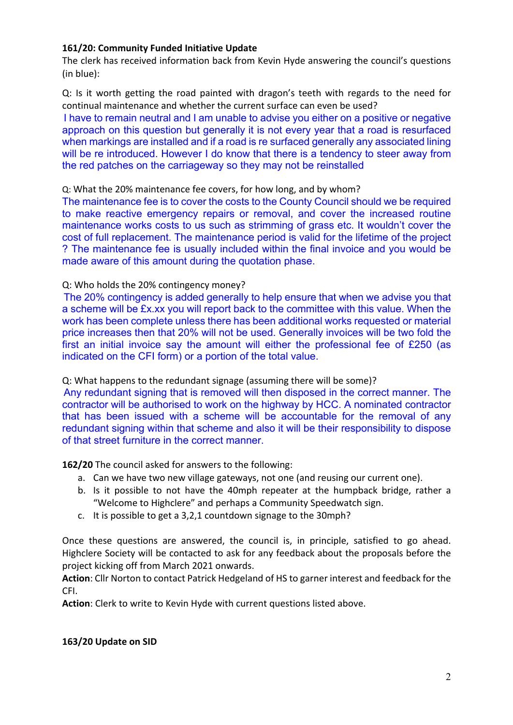# **161/20: Community Funded Initiative Update**

The clerk has received information back from Kevin Hyde answering the council's questions (in blue):

Q: Is it worth getting the road painted with dragon's teeth with regards to the need for continual maintenance and whether the current surface can even be used?

I have to remain neutral and I am unable to advise you either on a positive or negative approach on this question but generally it is not every year that a road is resurfaced when markings are installed and if a road is re surfaced generally any associated lining will be re introduced. However I do know that there is a tendency to steer away from the red patches on the carriageway so they may not be reinstalled

### Q: What the 20% maintenance fee covers, for how long, and by whom?

The maintenance fee is to cover the costs to the County Council should we be required to make reactive emergency repairs or removal, and cover the increased routine maintenance works costs to us such as strimming of grass etc. It wouldn't cover the cost of full replacement. The maintenance period is valid for the lifetime of the project ? The maintenance fee is usually included within the final invoice and you would be made aware of this amount during the quotation phase.

### Q: Who holds the 20% contingency money?

The 20% contingency is added generally to help ensure that when we advise you that a scheme will be £x.xx you will report back to the committee with this value. When the work has been complete unless there has been additional works requested or material price increases then that 20% will not be used. Generally invoices will be two fold the first an initial invoice say the amount will either the professional fee of £250 (as indicated on the CFI form) or a portion of the total value.

# Q: What happens to the redundant signage (assuming there will be some)?

Any redundant signing that is removed will then disposed in the correct manner. The contractor will be authorised to work on the highway by HCC. A nominated contractor that has been issued with a scheme will be accountable for the removal of any redundant signing within that scheme and also it will be their responsibility to dispose of that street furniture in the correct manner.

### **162/20** The council asked for answers to the following:

- a. Can we have two new village gateways, not one (and reusing our current one).
- b. Is it possible to not have the 40mph repeater at the humpback bridge, rather a "Welcome to Highclere" and perhaps a Community Speedwatch sign.
- c. It is possible to get a 3,2,1 countdown signage to the 30mph?

Once these questions are answered, the council is, in principle, satisfied to go ahead. Highclere Society will be contacted to ask for any feedback about the proposals before the project kicking off from March 2021 onwards.

**Action**: Cllr Norton to contact Patrick Hedgeland of HS to garner interest and feedback for the CFI.

**Action**: Clerk to write to Kevin Hyde with current questions listed above.

### **163/20 Update on SID**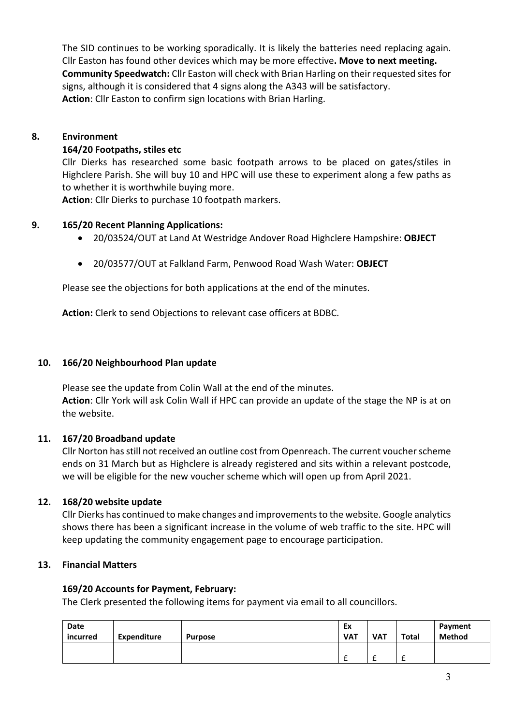The SID continues to be working sporadically. It is likely the batteries need replacing again. Cllr Easton has found other devices which may be more effective**. Move to next meeting. Community Speedwatch:** Cllr Easton will check with Brian Harling on their requested sites for signs, although it is considered that 4 signs along the A343 will be satisfactory. **Action**: Cllr Easton to confirm sign locations with Brian Harling.

# **8. Environment**

# **164/20 Footpaths, stiles etc**

Cllr Dierks has researched some basic footpath arrows to be placed on gates/stiles in Highclere Parish. She will buy 10 and HPC will use these to experiment along a few paths as to whether it is worthwhile buying more.

**Action**: Cllr Dierks to purchase 10 footpath markers.

# **9. 165/20 Recent Planning Applications:**

- 20/03524/OUT at Land At Westridge Andover Road Highclere Hampshire: **OBJECT**
- 20/03577/OUT at Falkland Farm, Penwood Road Wash Water: **OBJECT**

Please see the objections for both applications at the end of the minutes.

**Action:** Clerk to send Objections to relevant case officers at BDBC.

# **10. 166/20 Neighbourhood Plan update**

Please see the update from Colin Wall at the end of the minutes. **Action**: Cllr York will ask Colin Wall if HPC can provide an update of the stage the NP is at on the website.

# **11. 167/20 Broadband update**

Cllr Norton has still not received an outline cost from Openreach. The current voucher scheme ends on 31 March but as Highclere is already registered and sits within a relevant postcode, we will be eligible for the new voucher scheme which will open up from April 2021.

# **12. 168/20 website update**

Cllr Dierks has continued to make changes and improvements to the website. Google analytics shows there has been a significant increase in the volume of web traffic to the site. HPC will keep updating the community engagement page to encourage participation.

### **13. Financial Matters**

### **169/20 Accounts for Payment, February:**

The Clerk presented the following items for payment via email to all councillors.

| Date<br>incurred | Expenditure | <b>Purpose</b> | Ex<br><b>VAT</b> | <b>VAT</b>    | Total  | Payment<br><b>Method</b> |
|------------------|-------------|----------------|------------------|---------------|--------|--------------------------|
|                  |             |                |                  | -<br><b>.</b> | ∽<br>t |                          |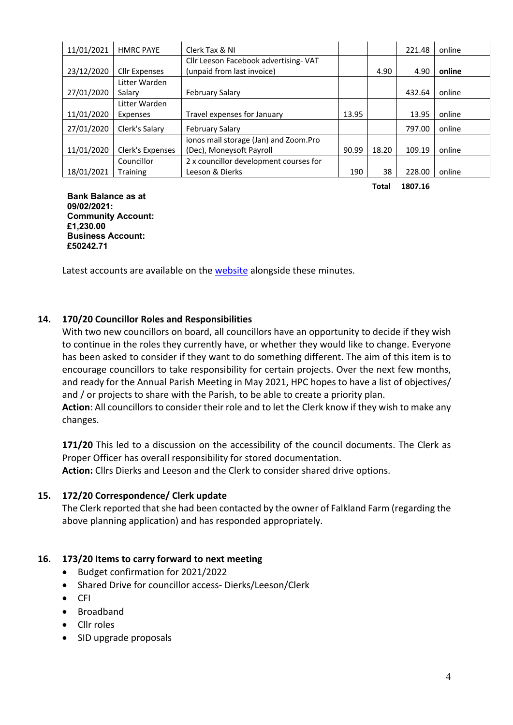| 11/01/2021 | <b>HMRC PAYE</b>     | Clerk Tax & NI                         |       |       | 221.48 | online |
|------------|----------------------|----------------------------------------|-------|-------|--------|--------|
|            |                      | Cllr Leeson Facebook advertising-VAT   |       |       |        |        |
| 23/12/2020 | <b>Cllr Expenses</b> | (unpaid from last invoice)             |       | 4.90  | 4.90   | online |
|            | Litter Warden        |                                        |       |       |        |        |
| 27/01/2020 | Salary               | <b>February Salary</b>                 |       |       | 432.64 | online |
|            | Litter Warden        |                                        |       |       |        |        |
| 11/01/2020 | Expenses             | Travel expenses for January            | 13.95 |       | 13.95  | online |
| 27/01/2020 | Clerk's Salary       | <b>February Salary</b>                 |       |       | 797.00 | online |
|            |                      | ionos mail storage (Jan) and Zoom.Pro  |       |       |        |        |
| 11/01/2020 | Clerk's Expenses     | (Dec), Moneysoft Payroll               | 90.99 | 18.20 | 109.19 | online |
|            | Councillor           | 2 x councillor development courses for |       |       |        |        |
| 18/01/2021 | <b>Training</b>      | Leeson & Dierks                        | 190   | 38    | 228.00 | online |

**Total 1807.16**

**Bank Balance as at 09/02/2021: Community Account: £1,230.00 Business Account: £50242.71**

Latest accounts are available on the website alongside these minutes.

# **14. 170/20 Councillor Roles and Responsibilities**

With two new councillors on board, all councillors have an opportunity to decide if they wish to continue in the roles they currently have, or whether they would like to change. Everyone has been asked to consider if they want to do something different. The aim of this item is to encourage councillors to take responsibility for certain projects. Over the next few months, and ready for the Annual Parish Meeting in May 2021, HPC hopes to have a list of objectives/ and / or projects to share with the Parish, to be able to create a priority plan.

**Action**: All councillors to consider their role and to let the Clerk know if they wish to make any changes.

**171/20** This led to a discussion on the accessibility of the council documents. The Clerk as Proper Officer has overall responsibility for stored documentation.

**Action:** Cllrs Dierks and Leeson and the Clerk to consider shared drive options.

# **15. 172/20 Correspondence/ Clerk update**

The Clerk reported that she had been contacted by the owner of Falkland Farm (regarding the above planning application) and has responded appropriately.

# **16. 173/20 Items to carry forward to next meeting**

- Budget confirmation for 2021/2022
- Shared Drive for councillor access- Dierks/Leeson/Clerk
- CFI
- Broadband
- Cllr roles
- SID upgrade proposals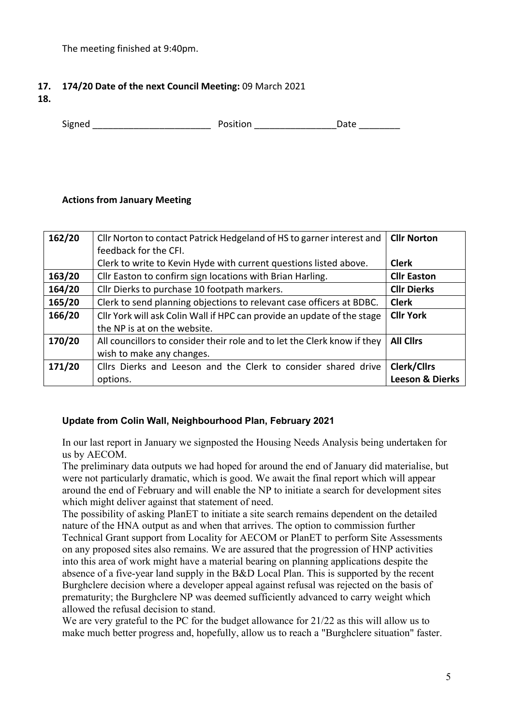The meeting finished at 9:40pm.

# **17. 174/20 Date of the next Council Meeting:** 09 March 2021

**18.**

Signed **Signed Contains Example 2** Position **Contains Position Contains Position** 

# **Actions from January Meeting**

| 162/20 | Cllr Norton to contact Patrick Hedgeland of HS to garner interest and    | <b>Cllr Norton</b>         |
|--------|--------------------------------------------------------------------------|----------------------------|
|        | feedback for the CFI.                                                    |                            |
|        | Clerk to write to Kevin Hyde with current questions listed above.        | <b>Clerk</b>               |
| 163/20 | Cllr Easton to confirm sign locations with Brian Harling.                | <b>Cllr Easton</b>         |
| 164/20 | Cllr Dierks to purchase 10 footpath markers.                             | <b>Cllr Dierks</b>         |
| 165/20 | Clerk to send planning objections to relevant case officers at BDBC.     | <b>Clerk</b>               |
| 166/20 | Cllr York will ask Colin Wall if HPC can provide an update of the stage  | <b>Cllr York</b>           |
|        | the NP is at on the website.                                             |                            |
| 170/20 | All councillors to consider their role and to let the Clerk know if they | <b>All Clirs</b>           |
|        | wish to make any changes.                                                |                            |
| 171/20 | Cllrs Dierks and Leeson and the Clerk to consider shared drive           | <b>Clerk/Cllrs</b>         |
|        | options.                                                                 | <b>Leeson &amp; Dierks</b> |

# **Update from Colin Wall, Neighbourhood Plan, February 2021**

In our last report in January we signposted the Housing Needs Analysis being undertaken for us by AECOM.

The preliminary data outputs we had hoped for around the end of January did materialise, but were not particularly dramatic, which is good. We await the final report which will appear around the end of February and will enable the NP to initiate a search for development sites which might deliver against that statement of need.

The possibility of asking PlanET to initiate a site search remains dependent on the detailed nature of the HNA output as and when that arrives. The option to commission further Technical Grant support from Locality for AECOM or PlanET to perform Site Assessments on any proposed sites also remains. We are assured that the progression of HNP activities into this area of work might have a material bearing on planning applications despite the absence of a five-year land supply in the B&D Local Plan. This is supported by the recent Burghclere decision where a developer appeal against refusal was rejected on the basis of prematurity; the Burghclere NP was deemed sufficiently advanced to carry weight which allowed the refusal decision to stand.

We are very grateful to the PC for the budget allowance for 21/22 as this will allow us to make much better progress and, hopefully, allow us to reach a "Burghclere situation" faster.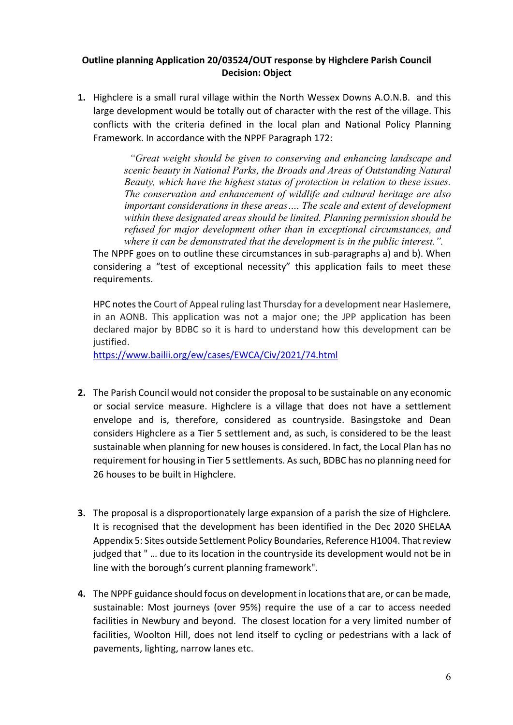# **Outline planning Application 20/03524/OUT response by Highclere Parish Council Decision: Object**

**1.** Highclere is a small rural village within the North Wessex Downs A.O.N.B. and this large development would be totally out of character with the rest of the village. This conflicts with the criteria defined in the local plan and National Policy Planning Framework. In accordance with the NPPF Paragraph 172:

> *"Great weight should be given to conserving and enhancing landscape and scenic beauty in National Parks, the Broads and Areas of Outstanding Natural Beauty, which have the highest status of protection in relation to these issues. The conservation and enhancement of wildlife and cultural heritage are also important considerations in these areas…. The scale and extent of development within these designated areas should be limited. Planning permission should be refused for major development other than in exceptional circumstances, and where it can be demonstrated that the development is in the public interest.".*

The NPPF goes on to outline these circumstances in sub-paragraphs a) and b). When considering a "test of exceptional necessity" this application fails to meet these requirements.

HPC notes the Court of Appeal ruling last Thursday for a development near Haslemere, in an AONB. This application was not a major one; the JPP application has been declared major by BDBC so it is hard to understand how this development can be justified.

https://www.bailii.org/ew/cases/EWCA/Civ/2021/74.html

- **2.** The Parish Council would not consider the proposal to be sustainable on any economic or social service measure. Highclere is a village that does not have a settlement envelope and is, therefore, considered as countryside. Basingstoke and Dean considers Highclere as a Tier 5 settlement and, as such, is considered to be the least sustainable when planning for new houses is considered. In fact, the Local Plan has no requirement for housing in Tier 5 settlements. As such, BDBC has no planning need for 26 houses to be built in Highclere.
- **3.** The proposal is a disproportionately large expansion of a parish the size of Highclere. It is recognised that the development has been identified in the Dec 2020 SHELAA Appendix 5: Sites outside Settlement Policy Boundaries, Reference H1004. That review judged that " … due to its location in the countryside its development would not be in line with the borough's current planning framework".
- **4.** The NPPF guidance should focus on development in locations that are, or can be made, sustainable: Most journeys (over 95%) require the use of a car to access needed facilities in Newbury and beyond. The closest location for a very limited number of facilities, Woolton Hill, does not lend itself to cycling or pedestrians with a lack of pavements, lighting, narrow lanes etc.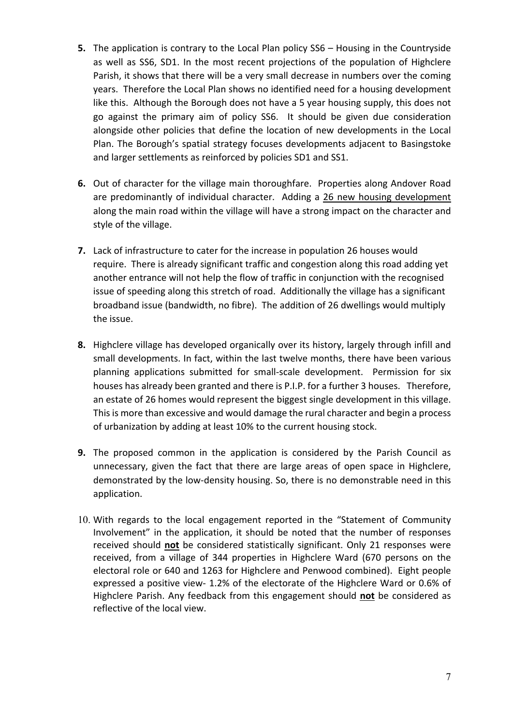- **5.** The application is contrary to the Local Plan policy SS6 Housing in the Countryside as well as SS6, SD1. In the most recent projections of the population of Highclere Parish, it shows that there will be a very small decrease in numbers over the coming years. Therefore the Local Plan shows no identified need for a housing development like this. Although the Borough does not have a 5 year housing supply, this does not go against the primary aim of policy SS6. It should be given due consideration alongside other policies that define the location of new developments in the Local Plan. The Borough's spatial strategy focuses developments adjacent to Basingstoke and larger settlements as reinforced by policies SD1 and SS1.
- **6.** Out of character for the village main thoroughfare. Properties along Andover Road are predominantly of individual character. Adding a 26 new housing development along the main road within the village will have a strong impact on the character and style of the village.
- **7.** Lack of infrastructure to cater for the increase in population 26 houses would require. There is already significant traffic and congestion along this road adding yet another entrance will not help the flow of traffic in conjunction with the recognised issue of speeding along this stretch of road. Additionally the village has a significant broadband issue (bandwidth, no fibre). The addition of 26 dwellings would multiply the issue.
- **8.** Highclere village has developed organically over its history, largely through infill and small developments. In fact, within the last twelve months, there have been various planning applications submitted for small-scale development. Permission for six houses has already been granted and there is P.I.P. for a further 3 houses. Therefore, an estate of 26 homes would represent the biggest single development in this village. This is more than excessive and would damage the rural character and begin a process of urbanization by adding at least 10% to the current housing stock.
- **9.** The proposed common in the application is considered by the Parish Council as unnecessary, given the fact that there are large areas of open space in Highclere, demonstrated by the low-density housing. So, there is no demonstrable need in this application.
- 10. With regards to the local engagement reported in the "Statement of Community Involvement" in the application, it should be noted that the number of responses received should **not** be considered statistically significant. Only 21 responses were received, from a village of 344 properties in Highclere Ward (670 persons on the electoral role or 640 and 1263 for Highclere and Penwood combined). Eight people expressed a positive view- 1.2% of the electorate of the Highclere Ward or 0.6% of Highclere Parish. Any feedback from this engagement should **not** be considered as reflective of the local view.